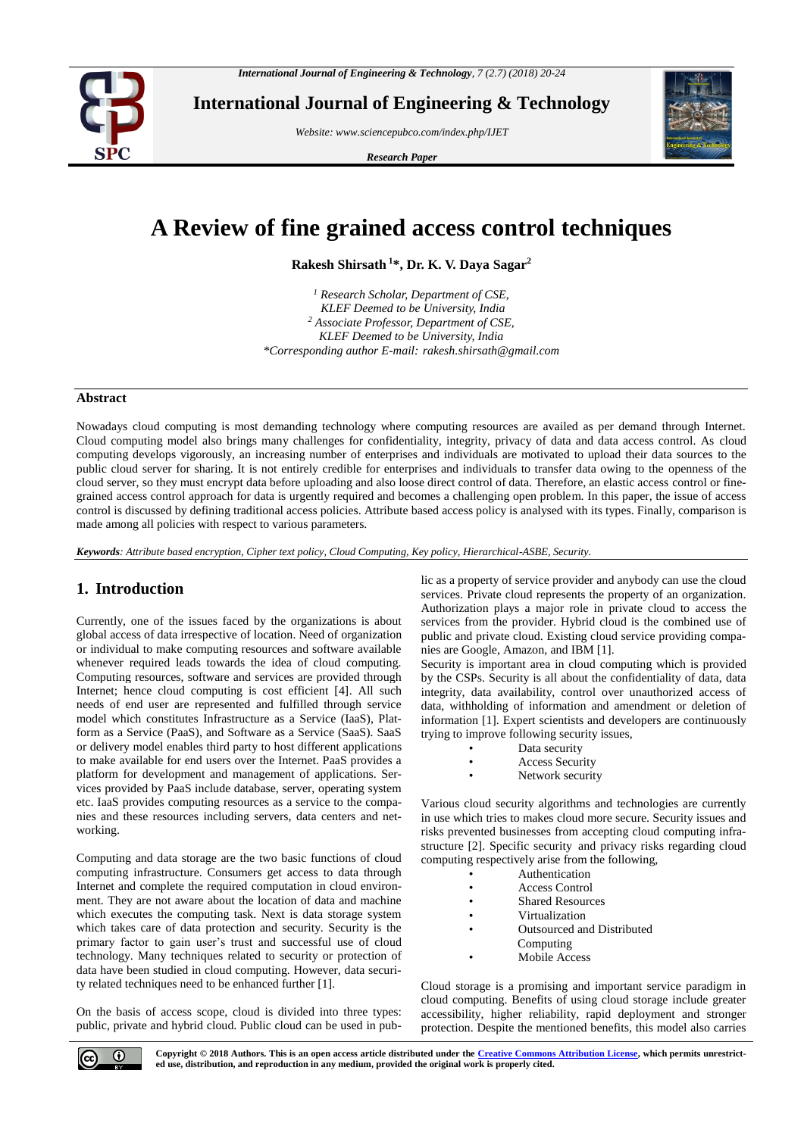

**International Journal of Engineering & Technology**

*Website: www.sciencepubco.com/index.php/IJET*

*Research Paper*



# **A Review of fine grained access control techniques**

**Rakesh Shirsath <sup>1</sup>\*, Dr. K. V. Daya Sagar<sup>2</sup>**

*<sup>1</sup> Research Scholar, Department of CSE, KLEF Deemed to be University, India <sup>2</sup> Associate Professor, Department of CSE, KLEF Deemed to be University, India \*Corresponding author E-mail: rakesh.shirsath@gmail.com*

#### **Abstract**

Nowadays cloud computing is most demanding technology where computing resources are availed as per demand through Internet. Cloud computing model also brings many challenges for confidentiality, integrity, privacy of data and data access control. As cloud computing develops vigorously, an increasing number of enterprises and individuals are motivated to upload their data sources to the public cloud server for sharing. It is not entirely credible for enterprises and individuals to transfer data owing to the openness of the cloud server, so they must encrypt data before uploading and also loose direct control of data. Therefore, an elastic access control or finegrained access control approach for data is urgently required and becomes a challenging open problem. In this paper, the issue of access control is discussed by defining traditional access policies. Attribute based access policy is analysed with its types. Finally, comparison is made among all policies with respect to various parameters.

*Keywords: Attribute based encryption, Cipher text policy, Cloud Computing, Key policy, Hierarchical-ASBE, Security.*

# **1. Introduction**

Currently, one of the issues faced by the organizations is about global access of data irrespective of location. Need of organization or individual to make computing resources and software available whenever required leads towards the idea of cloud computing. Computing resources, software and services are provided through Internet; hence cloud computing is cost efficient [4]. All such needs of end user are represented and fulfilled through service model which constitutes Infrastructure as a Service (IaaS), Platform as a Service (PaaS), and Software as a Service (SaaS). SaaS or delivery model enables third party to host different applications to make available for end users over the Internet. PaaS provides a platform for development and management of applications. Services provided by PaaS include database, server, operating system etc. IaaS provides computing resources as a service to the companies and these resources including servers, data centers and networking.

Computing and data storage are the two basic functions of cloud computing infrastructure. Consumers get access to data through Internet and complete the required computation in cloud environment. They are not aware about the location of data and machine which executes the computing task. Next is data storage system which takes care of data protection and security. Security is the primary factor to gain user's trust and successful use of cloud technology. Many techniques related to security or protection of data have been studied in cloud computing. However, data security related techniques need to be enhanced further [1].

On the basis of access scope, cloud is divided into three types: public, private and hybrid cloud. Public cloud can be used in public as a property of service provider and anybody can use the cloud services. Private cloud represents the property of an organization. Authorization plays a major role in private cloud to access the services from the provider. Hybrid cloud is the combined use of public and private cloud. Existing cloud service providing companies are Google, Amazon, and IBM [1].

Security is important area in cloud computing which is provided by the CSPs. Security is all about the confidentiality of data, data integrity, data availability, control over unauthorized access of data, withholding of information and amendment or deletion of information [1]. Expert scientists and developers are continuously trying to improve following security issues,

- Data security
- Access Security
- Network security

Various cloud security algorithms and technologies are currently in use which tries to makes cloud more secure. Security issues and risks prevented businesses from accepting cloud computing infrastructure [2]. Specific security and privacy risks regarding cloud computing respectively arise from the following,

- **Authentication**
- Access Control
- Shared Resources
- **Virtualization**
- Outsourced and Distributed
- Computing
- Mobile Access

Cloud storage is a promising and important service paradigm in cloud computing. Benefits of using cloud storage include greater accessibility, higher reliability, rapid deployment and stronger protection. Despite the mentioned benefits, this model also carries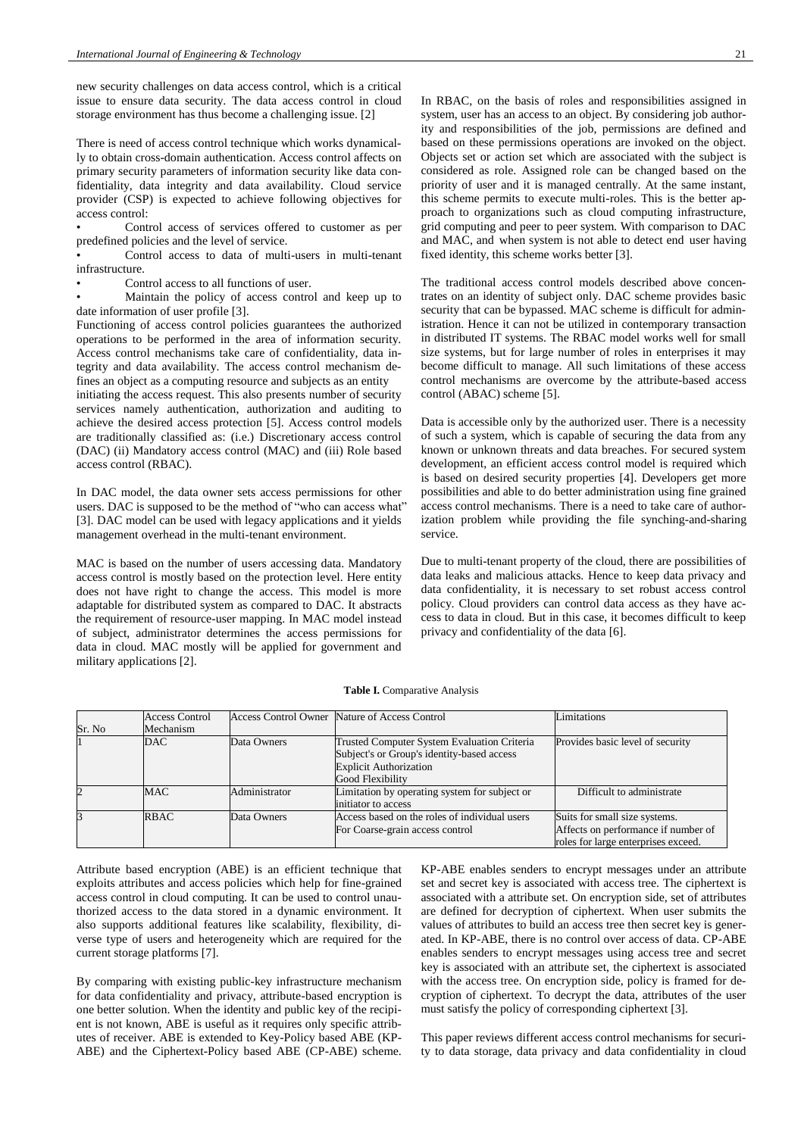new security challenges on data access control, which is a critical issue to ensure data security. The data access control in cloud storage environment has thus become a challenging issue. [2]

There is need of access control technique which works dynamically to obtain cross-domain authentication. Access control affects on primary security parameters of information security like data confidentiality, data integrity and data availability. Cloud service provider (CSP) is expected to achieve following objectives for access control:

Control access of services offered to customer as per predefined policies and the level of service.

• Control access to data of multi-users in multi-tenant infrastructure.

Control access to all functions of user.

• Maintain the policy of access control and keep up to date information of user profile [3].

Functioning of access control policies guarantees the authorized operations to be performed in the area of information security. Access control mechanisms take care of confidentiality, data integrity and data availability. The access control mechanism defines an object as a computing resource and subjects as an entity initiating the access request. This also presents number of security services namely authentication, authorization and auditing to achieve the desired access protection [5]. Access control models

are traditionally classified as: (i.e.) Discretionary access control (DAC) (ii) Mandatory access control (MAC) and (iii) Role based access control (RBAC).

In DAC model, the data owner sets access permissions for other users. DAC is supposed to be the method of "who can access what" [3]. DAC model can be used with legacy applications and it yields management overhead in the multi-tenant environment.

MAC is based on the number of users accessing data. Mandatory access control is mostly based on the protection level. Here entity does not have right to change the access. This model is more adaptable for distributed system as compared to DAC. It abstracts the requirement of resource-user mapping. In MAC model instead of subject, administrator determines the access permissions for data in cloud. MAC mostly will be applied for government and military applications [2].

In RBAC, on the basis of roles and responsibilities assigned in system, user has an access to an object. By considering job authority and responsibilities of the job, permissions are defined and based on these permissions operations are invoked on the object. Objects set or action set which are associated with the subject is considered as role. Assigned role can be changed based on the priority of user and it is managed centrally. At the same instant, this scheme permits to execute multi-roles. This is the better approach to organizations such as cloud computing infrastructure, grid computing and peer to peer system. With comparison to DAC and MAC, and when system is not able to detect end user having fixed identity, this scheme works better [3].

The traditional access control models described above concentrates on an identity of subject only. DAC scheme provides basic security that can be bypassed. MAC scheme is difficult for administration. Hence it can not be utilized in contemporary transaction in distributed IT systems. The RBAC model works well for small size systems, but for large number of roles in enterprises it may become difficult to manage. All such limitations of these access control mechanisms are overcome by the attribute-based access control (ABAC) scheme [5].

Data is accessible only by the authorized user. There is a necessity of such a system, which is capable of securing the data from any known or unknown threats and data breaches. For secured system development, an efficient access control model is required which is based on desired security properties [4]. Developers get more possibilities and able to do better administration using fine grained access control mechanisms. There is a need to take care of authorization problem while providing the file synching-and-sharing service.

Due to multi-tenant property of the cloud, there are possibilities of data leaks and malicious attacks. Hence to keep data privacy and data confidentiality, it is necessary to set robust access control policy. Cloud providers can control data access as they have access to data in cloud. But in this case, it becomes difficult to keep privacy and confidentiality of the data [6].

|  | Table I. Comparative Analysis |  |
|--|-------------------------------|--|
|--|-------------------------------|--|

|        | <b>Access Control</b> |               | Access Control Owner Nature of Access Control | Limitations                         |
|--------|-----------------------|---------------|-----------------------------------------------|-------------------------------------|
| Sr. No | Mechanism             |               |                                               |                                     |
|        | DAC                   | Data Owners   | Trusted Computer System Evaluation Criteria   | Provides basic level of security    |
|        |                       |               | Subject's or Group's identity-based access    |                                     |
|        |                       |               | <b>Explicit Authorization</b>                 |                                     |
|        |                       |               | Good Flexibility                              |                                     |
|        | <b>MAC</b>            | Administrator | Limitation by operating system for subject or | Difficult to administrate           |
|        |                       |               | initiator to access                           |                                     |
|        | <b>RBAC</b>           | Data Owners   | Access based on the roles of individual users | Suits for small size systems.       |
|        |                       |               | For Coarse-grain access control               | Affects on performance if number of |
|        |                       |               |                                               | roles for large enterprises exceed. |

Attribute based encryption (ABE) is an efficient technique that exploits attributes and access policies which help for fine-grained access control in cloud computing. It can be used to control unauthorized access to the data stored in a dynamic environment. It also supports additional features like scalability, flexibility, diverse type of users and heterogeneity which are required for the current storage platforms [7].

By comparing with existing public-key infrastructure mechanism for data confidentiality and privacy, attribute-based encryption is one better solution. When the identity and public key of the recipient is not known, ABE is useful as it requires only specific attributes of receiver. ABE is extended to Key-Policy based ABE (KP-ABE) and the Ciphertext-Policy based ABE (CP-ABE) scheme.

KP-ABE enables senders to encrypt messages under an attribute set and secret key is associated with access tree. The ciphertext is associated with a attribute set. On encryption side, set of attributes are defined for decryption of ciphertext. When user submits the values of attributes to build an access tree then secret key is generated. In KP-ABE, there is no control over access of data. CP-ABE enables senders to encrypt messages using access tree and secret key is associated with an attribute set, the ciphertext is associated with the access tree. On encryption side, policy is framed for decryption of ciphertext. To decrypt the data, attributes of the user must satisfy the policy of corresponding ciphertext [3].

This paper reviews different access control mechanisms for security to data storage, data privacy and data confidentiality in cloud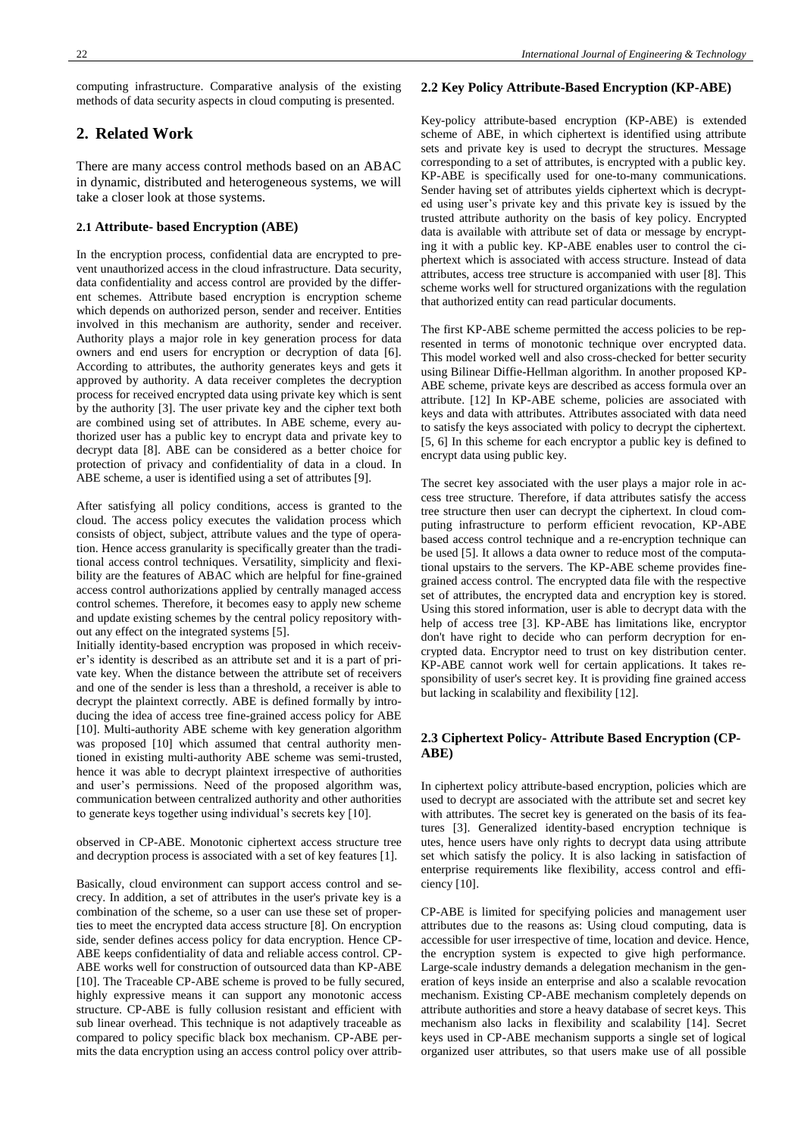computing infrastructure. Comparative analysis of the existing methods of data security aspects in cloud computing is presented.

# **2. Related Work**

There are many access control methods based on an ABAC in dynamic, distributed and heterogeneous systems, we will take a closer look at those systems.

## **2.1 Attribute- based Encryption (ABE)**

In the encryption process, confidential data are encrypted to prevent unauthorized access in the cloud infrastructure. Data security, data confidentiality and access control are provided by the different schemes. Attribute based encryption is encryption scheme which depends on authorized person, sender and receiver. Entities involved in this mechanism are authority, sender and receiver. Authority plays a major role in key generation process for data owners and end users for encryption or decryption of data [6]. According to attributes, the authority generates keys and gets it approved by authority. A data receiver completes the decryption process for received encrypted data using private key which is sent by the authority [3]. The user private key and the cipher text both are combined using set of attributes. In ABE scheme, every authorized user has a public key to encrypt data and private key to decrypt data [8]. ABE can be considered as a better choice for protection of privacy and confidentiality of data in a cloud. In ABE scheme, a user is identified using a set of attributes [9].

After satisfying all policy conditions, access is granted to the cloud. The access policy executes the validation process which consists of object, subject, attribute values and the type of operation. Hence access granularity is specifically greater than the traditional access control techniques. Versatility, simplicity and flexibility are the features of ABAC which are helpful for fine-grained access control authorizations applied by centrally managed access control schemes. Therefore, it becomes easy to apply new scheme and update existing schemes by the central policy repository without any effect on the integrated systems [5].

Initially identity-based encryption was proposed in which receiver's identity is described as an attribute set and it is a part of private key. When the distance between the attribute set of receivers and one of the sender is less than a threshold, a receiver is able to decrypt the plaintext correctly. ABE is defined formally by introducing the idea of access tree fine-grained access policy for ABE [10]. Multi-authority ABE scheme with key generation algorithm was proposed [10] which assumed that central authority mentioned in existing multi-authority ABE scheme was semi-trusted, hence it was able to decrypt plaintext irrespective of authorities and user's permissions. Need of the proposed algorithm was, communication between centralized authority and other authorities to generate keys together using individual's secrets key [10].

observed in CP-ABE. Monotonic ciphertext access structure tree and decryption process is associated with a set of key features [1].

Basically, cloud environment can support access control and secrecy. In addition, a set of attributes in the user's private key is a combination of the scheme, so a user can use these set of properties to meet the encrypted data access structure [8]. On encryption side, sender defines access policy for data encryption. Hence CP-ABE keeps confidentiality of data and reliable access control. CP-ABE works well for construction of outsourced data than KP-ABE [10]. The Traceable CP-ABE scheme is proved to be fully secured, highly expressive means it can support any monotonic access structure. CP-ABE is fully collusion resistant and efficient with sub linear overhead. This technique is not adaptively traceable as compared to policy specific black box mechanism. CP-ABE permits the data encryption using an access control policy over attrib-

#### **2.2 Key Policy Attribute-Based Encryption (KP-ABE)**

Key-policy attribute-based encryption (KP-ABE) is extended scheme of ABE, in which ciphertext is identified using attribute sets and private key is used to decrypt the structures. Message corresponding to a set of attributes, is encrypted with a public key. KP-ABE is specifically used for one-to-many communications. Sender having set of attributes yields ciphertext which is decrypted using user's private key and this private key is issued by the trusted attribute authority on the basis of key policy. Encrypted data is available with attribute set of data or message by encrypting it with a public key. KP-ABE enables user to control the ciphertext which is associated with access structure. Instead of data attributes, access tree structure is accompanied with user [8]. This scheme works well for structured organizations with the regulation that authorized entity can read particular documents.

The first KP-ABE scheme permitted the access policies to be represented in terms of monotonic technique over encrypted data. This model worked well and also cross-checked for better security using Bilinear Diffie-Hellman algorithm. In another proposed KP-ABE scheme, private keys are described as access formula over an attribute. [12] In KP-ABE scheme, policies are associated with keys and data with attributes. Attributes associated with data need to satisfy the keys associated with policy to decrypt the ciphertext. [5, 6] In this scheme for each encryptor a public key is defined to encrypt data using public key.

The secret key associated with the user plays a major role in access tree structure. Therefore, if data attributes satisfy the access tree structure then user can decrypt the ciphertext. In cloud computing infrastructure to perform efficient revocation, KP-ABE based access control technique and a re-encryption technique can be used [5]. It allows a data owner to reduce most of the computational upstairs to the servers. The KP-ABE scheme provides finegrained access control. The encrypted data file with the respective set of attributes, the encrypted data and encryption key is stored. Using this stored information, user is able to decrypt data with the help of access tree [3]. KP-ABE has limitations like, encryptor don't have right to decide who can perform decryption for encrypted data. Encryptor need to trust on key distribution center. KP-ABE cannot work well for certain applications. It takes responsibility of user's secret key. It is providing fine grained access but lacking in scalability and flexibility [12].

## **2.3 Ciphertext Policy- Attribute Based Encryption (CP-ABE)**

In ciphertext policy attribute-based encryption, policies which are used to decrypt are associated with the attribute set and secret key with attributes. The secret key is generated on the basis of its features [3]. Generalized identity-based encryption technique is utes, hence users have only rights to decrypt data using attribute set which satisfy the policy. It is also lacking in satisfaction of enterprise requirements like flexibility, access control and efficiency [10].

CP-ABE is limited for specifying policies and management user attributes due to the reasons as: Using cloud computing, data is accessible for user irrespective of time, location and device. Hence, the encryption system is expected to give high performance. Large-scale industry demands a delegation mechanism in the generation of keys inside an enterprise and also a scalable revocation mechanism. Existing CP-ABE mechanism completely depends on attribute authorities and store a heavy database of secret keys. This mechanism also lacks in flexibility and scalability [14]. Secret keys used in CP-ABE mechanism supports a single set of logical organized user attributes, so that users make use of all possible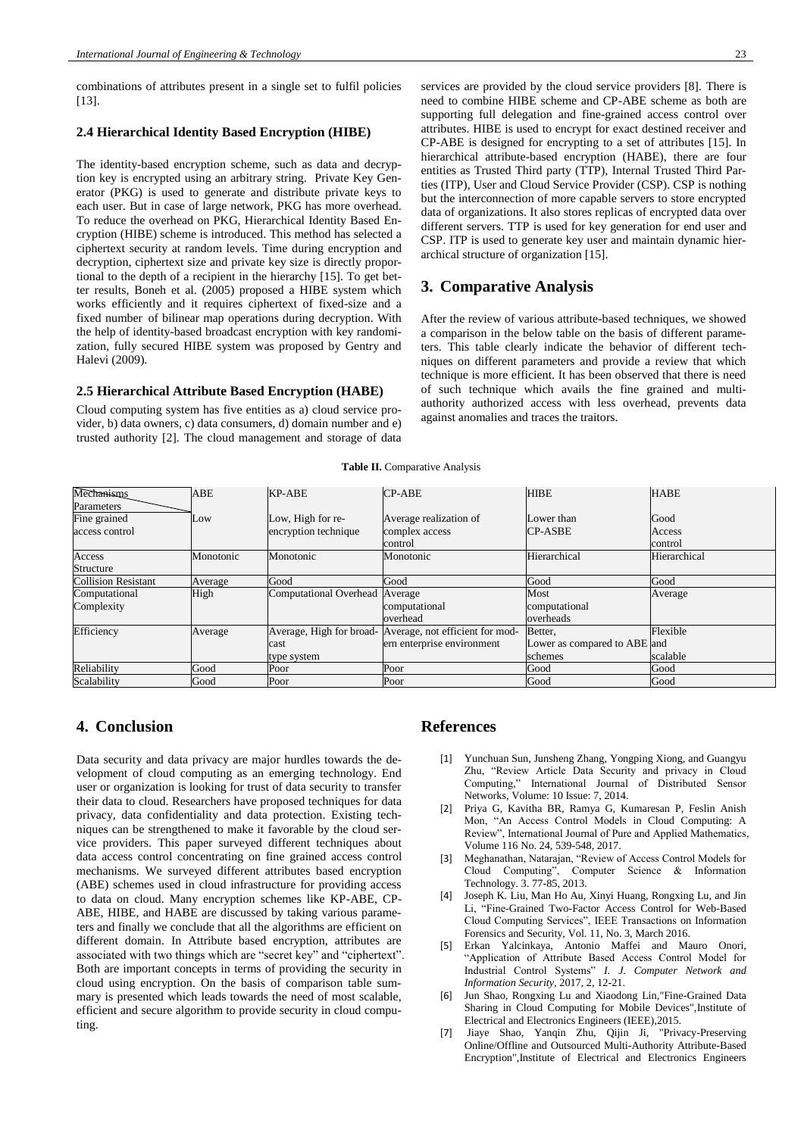combinations of attributes present in a single set to fulfil policies [13].

#### **2.4 Hierarchical Identity Based Encryption (HIBE)**

The identity-based encryption scheme, such as data and decryption key is encrypted using an arbitrary string. Private Key Generator (PKG) is used to generate and distribute private keys to each user. But in case of large network, PKG has more overhead. To reduce the overhead on PKG, Hierarchical Identity Based Encryption (HIBE) scheme is introduced. This method has selected a ciphertext security at random levels. Time during encryption and decryption, ciphertext size and private key size is directly proportional to the depth of a recipient in the hierarchy [15]. To get better results, Boneh et al. (2005) proposed a HIBE system which works efficiently and it requires ciphertext of fixed-size and a fixed number of bilinear map operations during decryption. With the help of identity-based broadcast encryption with key randomization, fully secured HIBE system was proposed by Gentry and Halevi (2009).

#### **2.5 Hierarchical Attribute Based Encryption (HABE)**

Cloud computing system has five entities as a) cloud service provider, b) data owners, c) data consumers, d) domain number and e) trusted authority [2]. The cloud management and storage of data services are provided by the cloud service providers [8]. There is

need to combine HIBE scheme and CP-ABE scheme as both are supporting full delegation and fine-grained access control over attributes. HIBE is used to encrypt for exact destined receiver and CP-ABE is designed for encrypting to a set of attributes [15]. In hierarchical attribute-based encryption (HABE), there are four entities as Trusted Third party (TTP), Internal Trusted Third Parties (ITP), User and Cloud Service Provider (CSP). CSP is nothing but the interconnection of more capable servers to store encrypted data of organizations. It also stores replicas of encrypted data over different servers. TTP is used for key generation for end user and CSP. ITP is used to generate key user and maintain dynamic hierarchical structure of organization [15].

## **3. Comparative Analysis**

After the review of various attribute-based techniques, we showed a comparison in the below table on the basis of different parameters. This table clearly indicate the behavior of different techniques on different parameters and provide a review that which technique is more efficient. It has been observed that there is need of such technique which avails the fine grained and multiauthority authorized access with less overhead, prevents data against anomalies and traces the traitors.

**Table II.** Comparative Analysis

| Mechanisms                 | ABE       | KP-ABE                         | <b>CP-ABE</b>                                            | <b>HIBE</b>                  | <b>HABE</b>  |
|----------------------------|-----------|--------------------------------|----------------------------------------------------------|------------------------------|--------------|
| Parameters                 |           |                                |                                                          |                              |              |
| Fine grained               | Low       | Low, High for re-              | Average realization of                                   | Lower than                   | Good         |
| access control             |           | encryption technique           | complex access                                           | <b>CP-ASBE</b>               | Access       |
|                            |           |                                | control                                                  |                              | control      |
| Access                     | Monotonic | Monotonic                      | Monotonic                                                | Hierarchical                 | Hierarchical |
| Structure                  |           |                                |                                                          |                              |              |
| <b>Collision Resistant</b> | Average   | Good                           | Good                                                     | Good                         | Good         |
| Computational              | High      | Computational Overhead Average |                                                          | Most                         | Average      |
| Complexity                 |           |                                | computational                                            | computational                |              |
|                            |           |                                | loverhead                                                | overheads                    |              |
| Efficiency                 | Average   |                                | Average, High for broad- Average, not efficient for mod- | Better,                      | Flexible     |
|                            |           | cast                           | ern enterprise environment                               | Lower as compared to ABE and |              |
|                            |           | type system                    |                                                          | schemes                      | scalable     |
| Reliability                | Good      | Poor                           | Poor                                                     | Good                         | Good         |
| Scalability                | Good      | Poor                           | Poor                                                     | Good                         | Good         |

## **4. Conclusion**

Data security and data privacy are major hurdles towards the development of cloud computing as an emerging technology. End user or organization is looking for trust of data security to transfer their data to cloud. Researchers have proposed techniques for data privacy, data confidentiality and data protection. Existing techniques can be strengthened to make it favorable by the cloud service providers. This paper surveyed different techniques about data access control concentrating on fine grained access control mechanisms. We surveyed different attributes based encryption (ABE) schemes used in cloud infrastructure for providing access to data on cloud. Many encryption schemes like KP-ABE, CP-ABE, HIBE, and HABE are discussed by taking various parameters and finally we conclude that all the algorithms are efficient on different domain. In Attribute based encryption, attributes are associated with two things which are "secret key" and "ciphertext". Both are important concepts in terms of providing the security in cloud using encryption. On the basis of comparison table summary is presented which leads towards the need of most scalable, efficient and secure algorithm to provide security in cloud computing.

## **References**

- [1] Yunchuan Sun, Junsheng Zhang, Yongping Xiong, and Guangyu Zhu, "Review Article Data Security and privacy in Cloud Computing," International Journal of Distributed Sensor Networks, Volume: 10 Issue: 7, 2014.
- [2] Priya G, Kavitha BR, Ramya G, Kumaresan P, Feslin Anish Mon, "An Access Control Models in Cloud Computing: A Review", International Journal of Pure and Applied Mathematics, Volume 116 No. 24, 539-548, 2017.
- [3] Meghanathan, Natarajan, "Review of Access Control Models for Cloud Computing", Computer Science & Information Technology. 3. 77-85, 2013.
- [4] Joseph K. Liu, Man Ho Au, Xinyi Huang, Rongxing Lu, and Jin Li, "Fine-Grained Two-Factor Access Control for Web-Based Cloud Computing Services", IEEE Transactions on Information Forensics and Security, Vol. 11, No. 3, March 2016.
- [5] Erkan Yalcinkaya, Antonio Maffei and Mauro Onori, "Application of Attribute Based Access Control Model for Industrial Control Systems" *I. J. Computer Network and Information Security,* 2017, 2, 12-21.
- [6] Jun Shao, Rongxing Lu and Xiaodong Lin,"Fine-Grained Data Sharing in Cloud Computing for Mobile Devices",Institute of Electrical and Electronics Engineers (IEEE),2015.
- [7] Jiaye Shao, Yanqin Zhu, Qijin Ji, "Privacy-Preserving Online/Offline and Outsourced Multi-Authority Attribute-Based Encryption",Institute of Electrical and Electronics Engineers